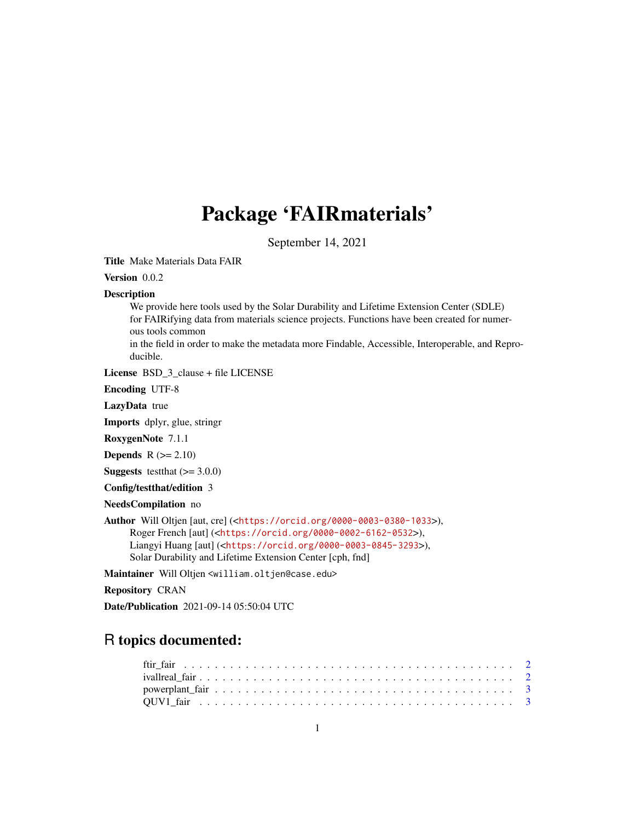## Package 'FAIRmaterials'

September 14, 2021

Title Make Materials Data FAIR

Version 0.0.2

#### Description

We provide here tools used by the Solar Durability and Lifetime Extension Center (SDLE) for FAIRifying data from materials science projects. Functions have been created for numerous tools common

in the field in order to make the metadata more Findable, Accessible, Interoperable, and Reproducible.

License BSD\_3\_clause + file LICENSE

Encoding UTF-8

LazyData true

Imports dplyr, glue, stringr

RoxygenNote 7.1.1

**Depends**  $R (= 2.10)$ 

**Suggests** testthat  $(>= 3.0.0)$ 

Config/testthat/edition 3

NeedsCompilation no

Author Will Oltjen [aut, cre] (<<https://orcid.org/0000-0003-0380-1033>>), Roger French [aut] (<<https://orcid.org/0000-0002-6162-0532>>), Liangyi Huang [aut] (<<https://orcid.org/0000-0003-0845-3293>>), Solar Durability and Lifetime Extension Center [cph, fnd]

Maintainer Will Oltjen <william.oltjen@case.edu>

Repository CRAN

Date/Publication 2021-09-14 05:50:04 UTC

### R topics documented: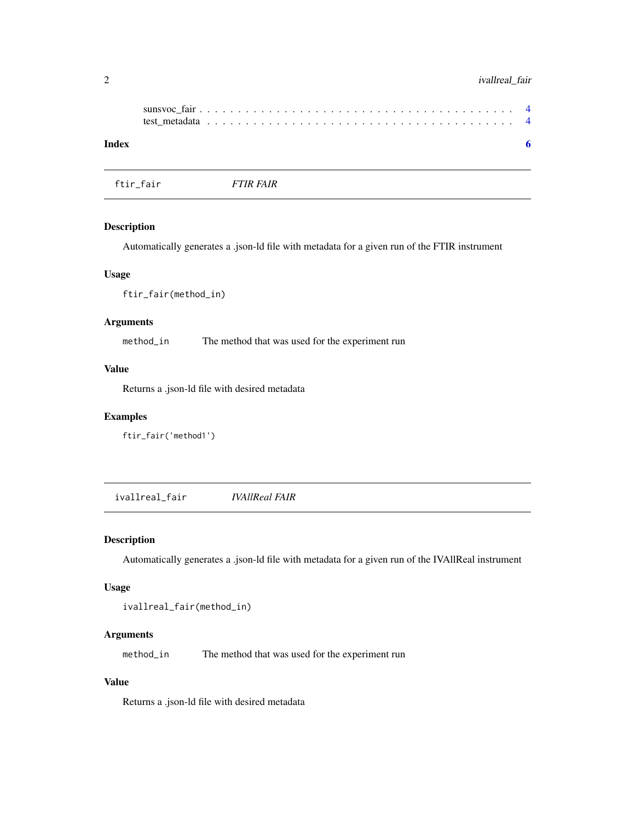#### <span id="page-1-0"></span>2 ivallreal\_fair contracts and the set of the set of the set of the set of the set of the set of the set of the set of the set of the set of the set of the set of the set of the set of the set of the set of the set of the

| Index |  |  |  |  |  |  |  |  |  |  |  |  |  |  |  |  |  |  |  |
|-------|--|--|--|--|--|--|--|--|--|--|--|--|--|--|--|--|--|--|--|

ftir\_fair *FTIR FAIR*

#### Description

Automatically generates a .json-ld file with metadata for a given run of the FTIR instrument

#### Usage

ftir\_fair(method\_in)

#### Arguments

method\_in The method that was used for the experiment run

#### Value

Returns a .json-ld file with desired metadata

#### Examples

ftir\_fair('method1')

ivallreal\_fair *IVAllReal FAIR*

#### Description

Automatically generates a .json-ld file with metadata for a given run of the IVAllReal instrument

#### Usage

```
ivallreal_fair(method_in)
```
#### Arguments

method\_in The method that was used for the experiment run

#### Value

Returns a .json-ld file with desired metadata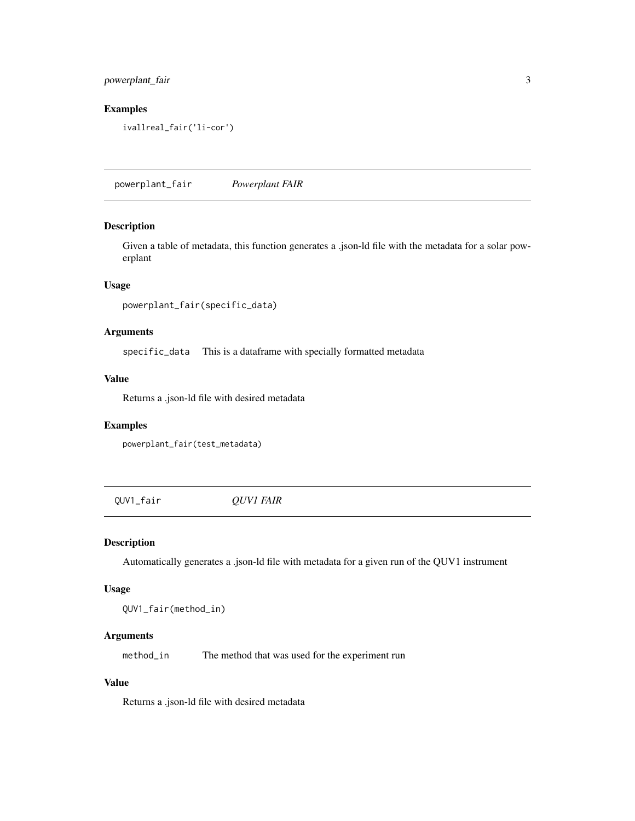#### <span id="page-2-0"></span>powerplant\_fair 3

#### Examples

ivallreal\_fair('li-cor')

powerplant\_fair *Powerplant FAIR*

#### Description

Given a table of metadata, this function generates a .json-ld file with the metadata for a solar powerplant

#### Usage

```
powerplant_fair(specific_data)
```
#### Arguments

specific\_data This is a dataframe with specially formatted metadata

#### Value

Returns a .json-ld file with desired metadata

#### Examples

powerplant\_fair(test\_metadata)

QUV1\_fair *QUV1 FAIR*

#### Description

Automatically generates a .json-ld file with metadata for a given run of the QUV1 instrument

#### Usage

QUV1\_fair(method\_in)

#### Arguments

method\_in The method that was used for the experiment run

#### Value

Returns a .json-ld file with desired metadata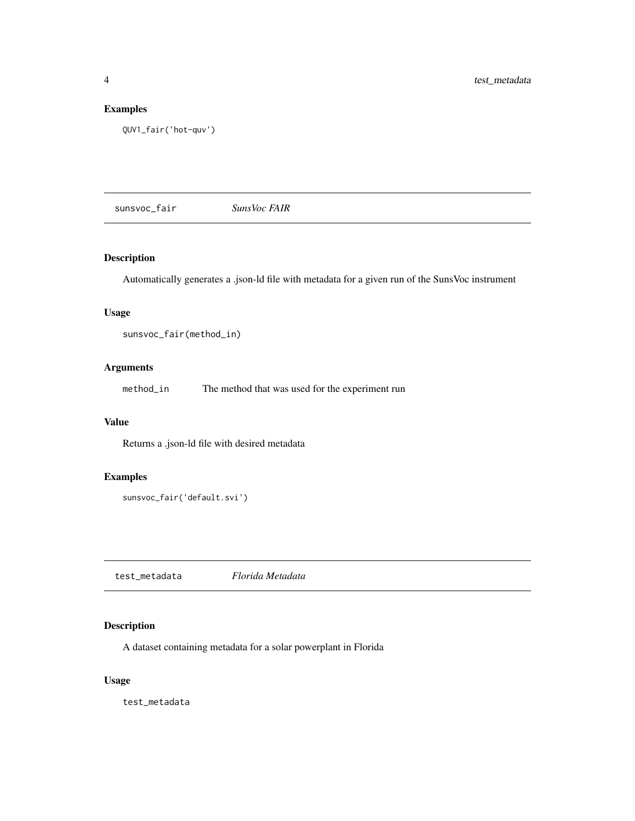#### <span id="page-3-0"></span>Examples

```
QUV1_fair('hot-quv')
```
sunsvoc\_fair *SunsVoc FAIR*

#### Description

Automatically generates a .json-ld file with metadata for a given run of the SunsVoc instrument

#### Usage

sunsvoc\_fair(method\_in)

#### Arguments

method\_in The method that was used for the experiment run

#### Value

Returns a .json-ld file with desired metadata

#### Examples

```
sunsvoc_fair('default.svi')
```
test\_metadata *Florida Metadata*

#### Description

A dataset containing metadata for a solar powerplant in Florida

#### Usage

test\_metadata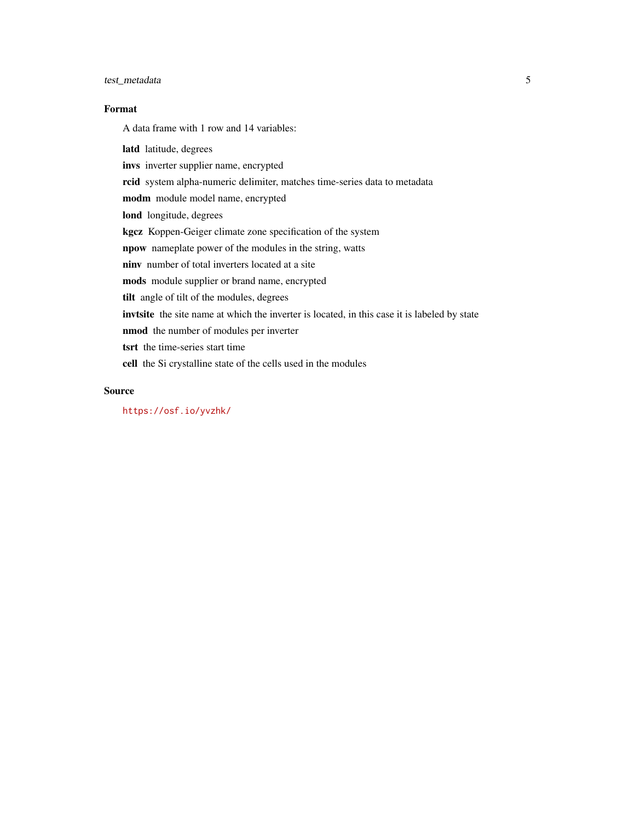#### test\_metadata 5

#### Format

A data frame with 1 row and 14 variables:

latd latitude, degrees invs inverter supplier name, encrypted rcid system alpha-numeric delimiter, matches time-series data to metadata modm module model name, encrypted lond longitude, degrees kgcz Koppen-Geiger climate zone specification of the system npow nameplate power of the modules in the string, watts ninv number of total inverters located at a site mods module supplier or brand name, encrypted tilt angle of tilt of the modules, degrees invtsite the site name at which the inverter is located, in this case it is labeled by state nmod the number of modules per inverter tsrt the time-series start time cell the Si crystalline state of the cells used in the modules

#### Source

<https://osf.io/yvzhk/>